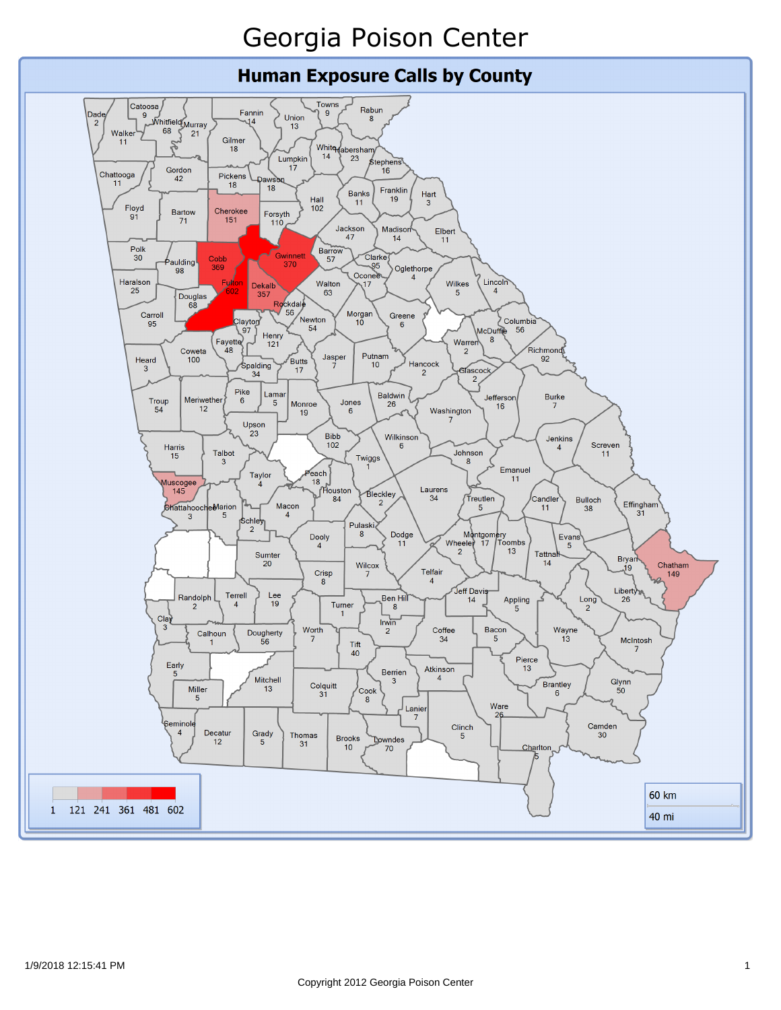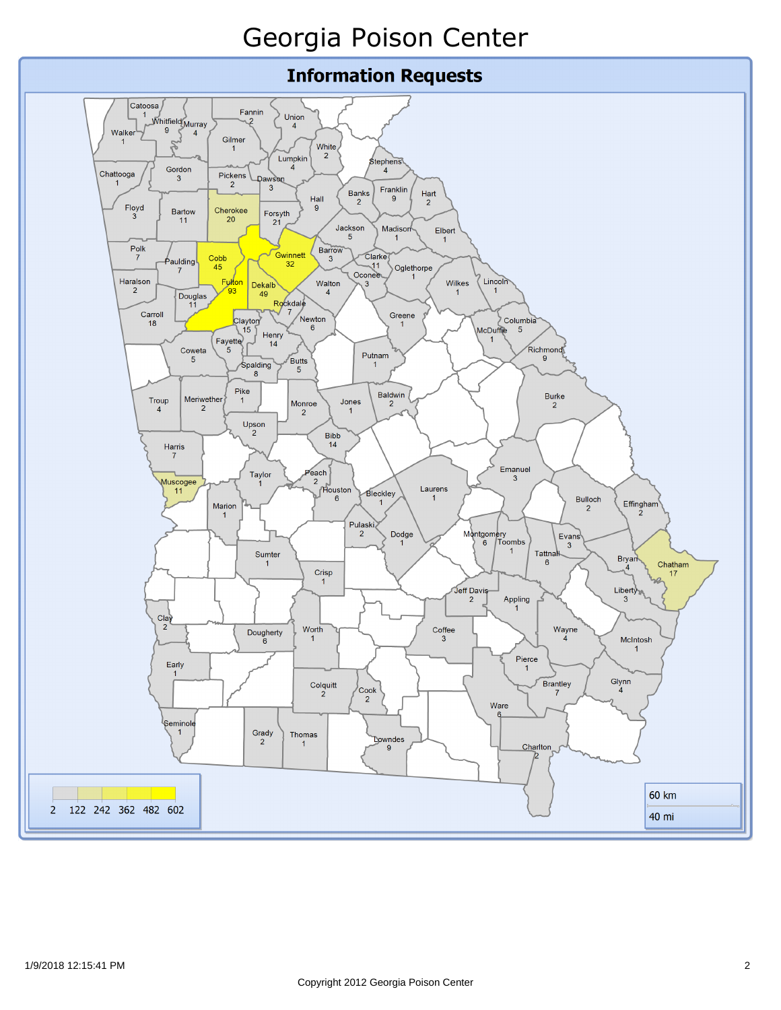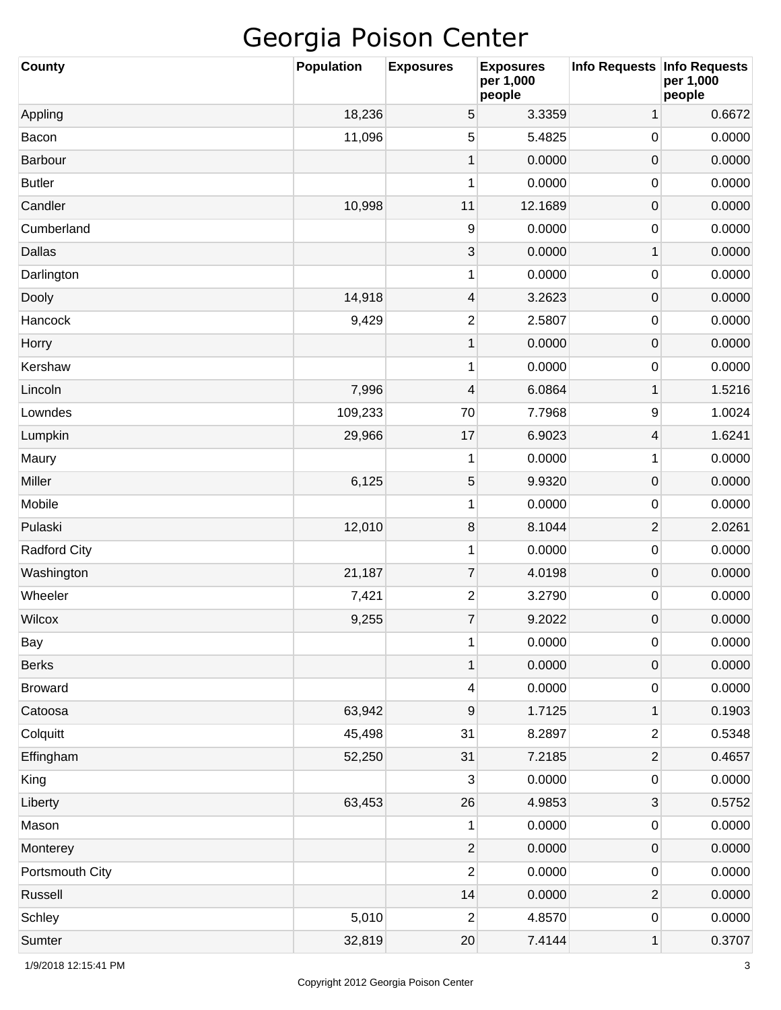| <b>County</b>       | <b>Population</b> | <b>Exposures</b>        | <b>Exposures</b><br>per 1,000<br>people | Info Requests   Info Requests | per 1,000<br>people |
|---------------------|-------------------|-------------------------|-----------------------------------------|-------------------------------|---------------------|
| Appling             | 18,236            | 5                       | 3.3359                                  | 1                             | 0.6672              |
| Bacon               | 11,096            | 5                       | 5.4825                                  | 0                             | 0.0000              |
| Barbour             |                   | $\mathbf 1$             | 0.0000                                  | $\mathsf{O}\xspace$           | 0.0000              |
| <b>Butler</b>       |                   | 1                       | 0.0000                                  | 0                             | 0.0000              |
| Candler             | 10,998            | 11                      | 12.1689                                 | $\mathsf{O}\xspace$           | 0.0000              |
| Cumberland          |                   | 9                       | 0.0000                                  | 0                             | 0.0000              |
| Dallas              |                   | 3                       | 0.0000                                  | 1                             | 0.0000              |
| Darlington          |                   | 1                       | 0.0000                                  | 0                             | 0.0000              |
| Dooly               | 14,918            | 4                       | 3.2623                                  | $\mathsf{O}\xspace$           | 0.0000              |
| Hancock             | 9,429             | $\overline{c}$          | 2.5807                                  | 0                             | 0.0000              |
| Horry               |                   | $\mathbf 1$             | 0.0000                                  | $\mathsf{O}\xspace$           | 0.0000              |
| Kershaw             |                   | 1                       | 0.0000                                  | 0                             | 0.0000              |
| Lincoln             | 7,996             | 4                       | 6.0864                                  | 1                             | 1.5216              |
| Lowndes             | 109,233           | 70                      | 7.7968                                  | 9                             | 1.0024              |
| Lumpkin             | 29,966            | 17                      | 6.9023                                  | 4                             | 1.6241              |
| Maury               |                   | 1                       | 0.0000                                  | 1                             | 0.0000              |
| Miller              | 6,125             | 5                       | 9.9320                                  | $\mathsf{O}\xspace$           | 0.0000              |
| Mobile              |                   | 1                       | 0.0000                                  | 0                             | 0.0000              |
| Pulaski             | 12,010            | $\, 8$                  | 8.1044                                  | $\overline{2}$                | 2.0261              |
| <b>Radford City</b> |                   | 1                       | 0.0000                                  | 0                             | 0.0000              |
| Washington          | 21,187            | $\overline{7}$          | 4.0198                                  | $\mathsf{O}\xspace$           | 0.0000              |
| Wheeler             | 7,421             | $\overline{\mathbf{c}}$ | 3.2790                                  | 0                             | 0.0000              |
| <b>Wilcox</b>       | 9,255             | $\overline{7}$          | 9.2022                                  | $\mathbf 0$                   | 0.0000              |
| Bay                 |                   | 1                       | 0.0000                                  | 0                             | 0.0000              |
| <b>Berks</b>        |                   | $\mathbf 1$             | 0.0000                                  | 0                             | 0.0000              |
| <b>Broward</b>      |                   | 4                       | 0.0000                                  | 0                             | 0.0000              |
| Catoosa             | 63,942            | 9                       | 1.7125                                  | 1                             | 0.1903              |
| Colquitt            | 45,498            | 31                      | 8.2897                                  | $\overline{\mathbf{c}}$       | 0.5348              |
| Effingham           | 52,250            | 31                      | 7.2185                                  | $\mathbf{2}$                  | 0.4657              |
| King                |                   | 3                       | 0.0000                                  | 0                             | 0.0000              |
| Liberty             | 63,453            | 26                      | 4.9853                                  | 3                             | 0.5752              |
| Mason               |                   | 1                       | 0.0000                                  | 0                             | 0.0000              |
| Monterey            |                   | $\overline{2}$          | 0.0000                                  | 0                             | 0.0000              |
| Portsmouth City     |                   | $\overline{2}$          | 0.0000                                  | 0                             | 0.0000              |
| Russell             |                   | 14                      | 0.0000                                  | $\mathbf{2}$                  | 0.0000              |
| Schley              | 5,010             | 2                       | 4.8570                                  | 0                             | 0.0000              |
| Sumter              | 32,819            | $20\,$                  | 7.4144                                  | $\mathbf 1$                   | 0.3707              |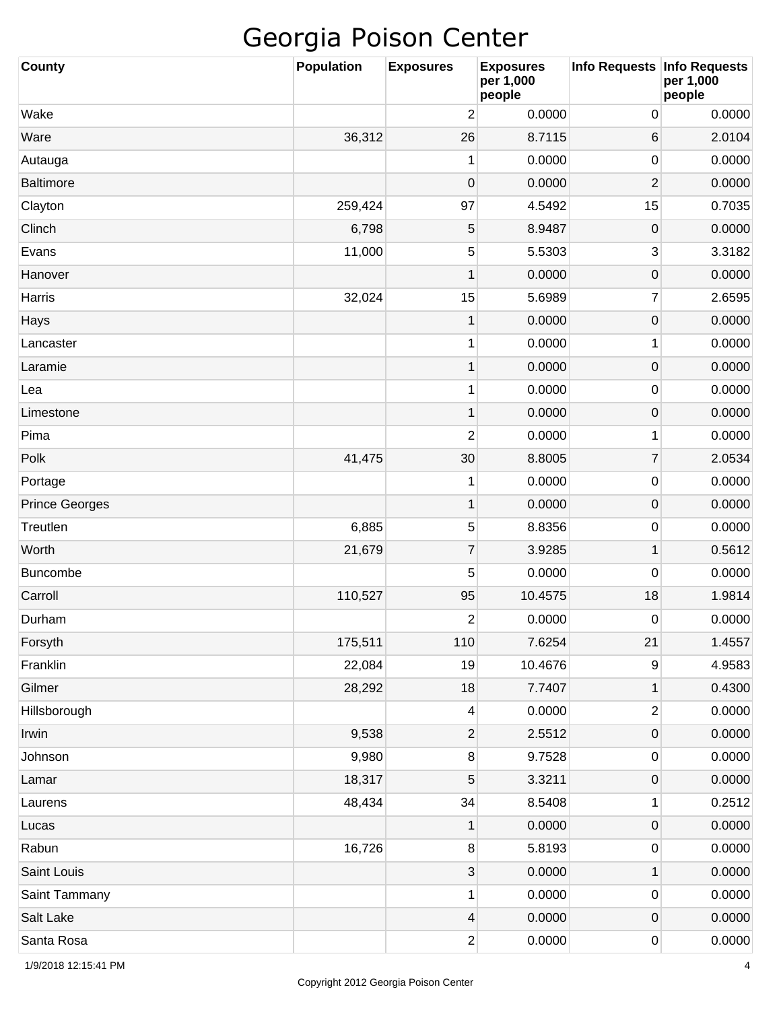| <b>County</b>         | <b>Population</b> | <b>Exposures</b> | <b>Exposures</b><br>per 1,000<br>people | Info Requests   Info Requests | per 1,000<br>people |
|-----------------------|-------------------|------------------|-----------------------------------------|-------------------------------|---------------------|
| Wake                  |                   | $\overline{2}$   | 0.0000                                  | 0                             | 0.0000              |
| Ware                  | 36,312            | 26               | 8.7115                                  | 6                             | 2.0104              |
| Autauga               |                   | 1                | 0.0000                                  | $\mathbf 0$                   | 0.0000              |
| <b>Baltimore</b>      |                   | $\mathbf 0$      | 0.0000                                  | $\overline{2}$                | 0.0000              |
| Clayton               | 259,424           | 97               | 4.5492                                  | 15                            | 0.7035              |
| Clinch                | 6,798             | 5                | 8.9487                                  | $\pmb{0}$                     | 0.0000              |
| Evans                 | 11,000            | 5                | 5.5303                                  | 3                             | 3.3182              |
| Hanover               |                   | 1                | 0.0000                                  | 0                             | 0.0000              |
| Harris                | 32,024            | 15               | 5.6989                                  | 7                             | 2.6595              |
| Hays                  |                   | $\mathbf 1$      | 0.0000                                  | $\pmb{0}$                     | 0.0000              |
| Lancaster             |                   | 1                | 0.0000                                  | 1                             | 0.0000              |
| Laramie               |                   | $\mathbf{1}$     | 0.0000                                  | $\pmb{0}$                     | 0.0000              |
| Lea                   |                   | 1                | 0.0000                                  | $\pmb{0}$                     | 0.0000              |
| Limestone             |                   | $\mathbf{1}$     | 0.0000                                  | $\pmb{0}$                     | 0.0000              |
| Pima                  |                   | $\overline{c}$   | 0.0000                                  | 1                             | 0.0000              |
| Polk                  | 41,475            | 30               | 8.8005                                  | 7                             | 2.0534              |
| Portage               |                   | 1                | 0.0000                                  | $\pmb{0}$                     | 0.0000              |
| <b>Prince Georges</b> |                   | $\mathbf{1}$     | 0.0000                                  | $\pmb{0}$                     | 0.0000              |
| Treutlen              | 6,885             | 5                | 8.8356                                  | $\pmb{0}$                     | 0.0000              |
| Worth                 | 21,679            | $\boldsymbol{7}$ | 3.9285                                  | 1                             | 0.5612              |
| <b>Buncombe</b>       |                   | 5                | 0.0000                                  | $\mathbf 0$                   | 0.0000              |
| Carroll               | 110,527           | 95               | 10.4575                                 | 18                            | 1.9814              |
| Durham                |                   | $\overline{2}$   | 0.0000                                  | $\mathbf 0$                   | 0.0000              |
| Forsyth               | 175,511           | 110              | 7.6254                                  | 21                            | 1.4557              |
| Franklin              | 22,084            | 19               | 10.4676                                 | 9                             | 4.9583              |
| Gilmer                | 28,292            | 18               | 7.7407                                  | $\mathbf 1$                   | 0.4300              |
| Hillsborough          |                   | $\overline{4}$   | 0.0000                                  | 2                             | 0.0000              |
| Irwin                 | 9,538             | $\overline{2}$   | 2.5512                                  | $\pmb{0}$                     | 0.0000              |
| Johnson               | 9,980             | $\bf 8$          | 9.7528                                  | $\pmb{0}$                     | 0.0000              |
| Lamar                 | 18,317            | 5                | 3.3211                                  | $\pmb{0}$                     | 0.0000              |
| Laurens               | 48,434            | 34               | 8.5408                                  | 1                             | 0.2512              |
| Lucas                 |                   | $\mathbf{1}$     | 0.0000                                  | $\pmb{0}$                     | 0.0000              |
| Rabun                 | 16,726            | $\bf 8$          | 5.8193                                  | $\pmb{0}$                     | 0.0000              |
| Saint Louis           |                   | $\sqrt{3}$       | 0.0000                                  | $\mathbf 1$                   | 0.0000              |
| Saint Tammany         |                   | $\mathbf{1}$     | 0.0000                                  | $\pmb{0}$                     | 0.0000              |
| Salt Lake             |                   | $\overline{4}$   | 0.0000                                  | $\pmb{0}$                     | 0.0000              |
| Santa Rosa            |                   | $\mathbf{2}$     | 0.0000                                  | 0                             | 0.0000              |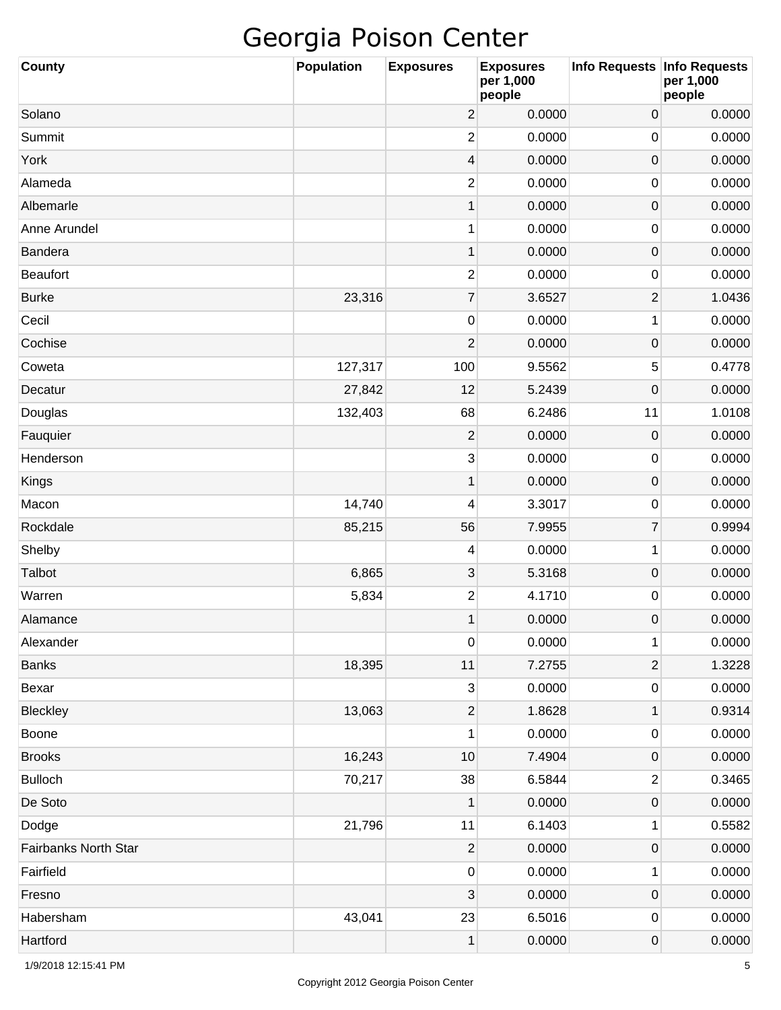| <b>County</b>        | <b>Population</b> | <b>Exposures</b> | <b>Exposures</b><br>per 1,000<br>people | Info Requests   Info Requests | per 1,000<br>people |
|----------------------|-------------------|------------------|-----------------------------------------|-------------------------------|---------------------|
| Solano               |                   | $\overline{c}$   | 0.0000                                  | $\mathsf{O}\xspace$           | 0.0000              |
| Summit               |                   | $\overline{2}$   | 0.0000                                  | 0                             | 0.0000              |
| York                 |                   | 4                | 0.0000                                  | $\mathsf{O}\xspace$           | 0.0000              |
| Alameda              |                   | $\overline{c}$   | 0.0000                                  | 0                             | 0.0000              |
| Albemarle            |                   | 1                | 0.0000                                  | $\mathsf{O}\xspace$           | 0.0000              |
| Anne Arundel         |                   | 1                | 0.0000                                  | 0                             | 0.0000              |
| Bandera              |                   | 1                | 0.0000                                  | $\mathsf{O}\xspace$           | 0.0000              |
| <b>Beaufort</b>      |                   | 2                | 0.0000                                  | 0                             | 0.0000              |
| <b>Burke</b>         | 23,316            | $\boldsymbol{7}$ | 3.6527                                  | $\overline{2}$                | 1.0436              |
| Cecil                |                   | $\pmb{0}$        | 0.0000                                  | 1                             | 0.0000              |
| Cochise              |                   | $\overline{2}$   | 0.0000                                  | $\mathsf{O}\xspace$           | 0.0000              |
| Coweta               | 127,317           | 100              | 9.5562                                  | 5                             | 0.4778              |
| Decatur              | 27,842            | 12               | 5.2439                                  | $\mathsf{O}\xspace$           | 0.0000              |
| Douglas              | 132,403           | 68               | 6.2486                                  | 11                            | 1.0108              |
| Fauquier             |                   | $\overline{2}$   | 0.0000                                  | $\pmb{0}$                     | 0.0000              |
| Henderson            |                   | 3                | 0.0000                                  | 0                             | 0.0000              |
| Kings                |                   | 1                | 0.0000                                  | $\mathsf{O}\xspace$           | 0.0000              |
| Macon                | 14,740            | 4                | 3.3017                                  | 0                             | 0.0000              |
| Rockdale             | 85,215            | 56               | 7.9955                                  | $\overline{7}$                | 0.9994              |
| Shelby               |                   | 4                | 0.0000                                  | 1                             | 0.0000              |
| Talbot               | 6,865             | 3                | 5.3168                                  | $\pmb{0}$                     | 0.0000              |
| Warren               | 5,834             | 2                | 4.1710                                  | 0                             | 0.0000              |
| Alamance             |                   | 1                | 0.0000                                  | $\mathbf 0$                   | 0.0000              |
| Alexander            |                   | $\pmb{0}$        | 0.0000                                  | 1                             | 0.0000              |
| <b>Banks</b>         | 18,395            | 11               | 7.2755                                  | $\mathbf 2$                   | 1.3228              |
| Bexar                |                   | 3                | 0.0000                                  | $\pmb{0}$                     | 0.0000              |
| Bleckley             | 13,063            | $\sqrt{2}$       | 1.8628                                  | $\mathbf 1$                   | 0.9314              |
| Boone                |                   | 1                | 0.0000                                  | $\pmb{0}$                     | 0.0000              |
| <b>Brooks</b>        | 16,243            | 10               | 7.4904                                  | $\mathsf{O}\xspace$           | 0.0000              |
| <b>Bulloch</b>       | 70,217            | 38               | 6.5844                                  | $\overline{\mathbf{c}}$       | 0.3465              |
| De Soto              |                   | 1                | 0.0000                                  | $\mathsf{O}\xspace$           | 0.0000              |
| Dodge                | 21,796            | 11               | 6.1403                                  | 1                             | 0.5582              |
| Fairbanks North Star |                   | $\overline{c}$   | 0.0000                                  | $\pmb{0}$                     | 0.0000              |
| Fairfield            |                   | $\pmb{0}$        | 0.0000                                  | 1                             | 0.0000              |
| Fresno               |                   | 3                | 0.0000                                  | $\pmb{0}$                     | 0.0000              |
| Habersham            | 43,041            | 23               | 6.5016                                  | $\pmb{0}$                     | 0.0000              |
| Hartford             |                   | $\mathbf 1$      | 0.0000                                  | 0                             | 0.0000              |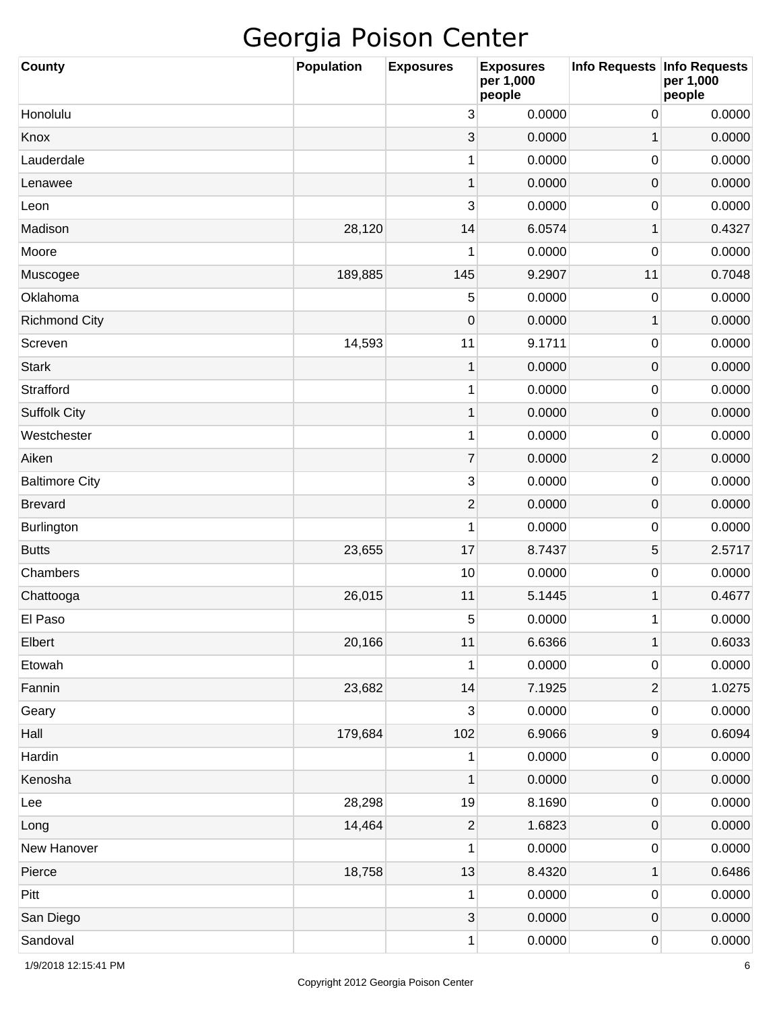| <b>County</b>         | Population | <b>Exposures</b>          | <b>Exposures</b><br>per 1,000<br>people | Info Requests Info Requests | per 1,000<br>people |
|-----------------------|------------|---------------------------|-----------------------------------------|-----------------------------|---------------------|
| Honolulu              |            | 3                         | 0.0000                                  | 0                           | 0.0000              |
| Knox                  |            | 3                         | 0.0000                                  | 1                           | 0.0000              |
| Lauderdale            |            | 1                         | 0.0000                                  | $\mathbf 0$                 | 0.0000              |
| Lenawee               |            | 1                         | 0.0000                                  | $\boldsymbol{0}$            | 0.0000              |
| Leon                  |            | 3                         | 0.0000                                  | $\mathbf 0$                 | 0.0000              |
| Madison               | 28,120     | 14                        | 6.0574                                  | 1                           | 0.4327              |
| Moore                 |            | 1                         | 0.0000                                  | $\boldsymbol{0}$            | 0.0000              |
| Muscogee              | 189,885    | 145                       | 9.2907                                  | 11                          | 0.7048              |
| Oklahoma              |            | 5                         | 0.0000                                  | $\mathbf 0$                 | 0.0000              |
| <b>Richmond City</b>  |            | $\mathbf 0$               | 0.0000                                  | 1                           | 0.0000              |
| Screven               | 14,593     | 11                        | 9.1711                                  | $\mathbf 0$                 | 0.0000              |
| <b>Stark</b>          |            | 1                         | 0.0000                                  | $\boldsymbol{0}$            | 0.0000              |
| Strafford             |            | $\mathbf 1$               | 0.0000                                  | $\mathbf 0$                 | 0.0000              |
| <b>Suffolk City</b>   |            | 1                         | 0.0000                                  | $\mathbf 0$                 | 0.0000              |
| Westchester           |            | $\mathbf 1$               | 0.0000                                  | $\mathbf 0$                 | 0.0000              |
| Aiken                 |            | $\overline{7}$            | 0.0000                                  | 2                           | 0.0000              |
| <b>Baltimore City</b> |            | 3                         | 0.0000                                  | $\boldsymbol{0}$            | 0.0000              |
| <b>Brevard</b>        |            | $\mathbf{2}$              | 0.0000                                  | $\mathbf 0$                 | 0.0000              |
| Burlington            |            | 1                         | 0.0000                                  | $\mathbf 0$                 | 0.0000              |
| <b>Butts</b>          | 23,655     | 17                        | 8.7437                                  | 5                           | 2.5717              |
| Chambers              |            | 10                        | 0.0000                                  | $\mathbf 0$                 | 0.0000              |
| Chattooga             | 26,015     | 11                        | 5.1445                                  | 1                           | 0.4677              |
| El Paso               |            | 5                         | 0.0000                                  | 1                           | 0.0000              |
| Elbert                | 20,166     | 11                        | 6.6366                                  | 1                           | 0.6033              |
| Etowah                |            | 1                         | 0.0000                                  | $\pmb{0}$                   | 0.0000              |
| Fannin                | 23,682     | 14                        | 7.1925                                  | 2                           | 1.0275              |
| Geary                 |            | 3                         | 0.0000                                  | $\pmb{0}$                   | 0.0000              |
| Hall                  | 179,684    | 102                       | 6.9066                                  | $\boldsymbol{9}$            | 0.6094              |
| Hardin                |            | 1                         | 0.0000                                  | $\pmb{0}$                   | 0.0000              |
| Kenosha               |            | $\mathbf 1$               | 0.0000                                  | $\pmb{0}$                   | 0.0000              |
| Lee                   | 28,298     | 19                        | 8.1690                                  | $\pmb{0}$                   | 0.0000              |
| Long                  | 14,464     | $\overline{\mathbf{c}}$   | 1.6823                                  | $\pmb{0}$                   | 0.0000              |
| New Hanover           |            | 1                         | 0.0000                                  | $\pmb{0}$                   | 0.0000              |
| Pierce                | 18,758     | 13                        | 8.4320                                  | 1                           | 0.6486              |
| Pitt                  |            | 1                         | 0.0000                                  | $\pmb{0}$                   | 0.0000              |
| San Diego             |            | $\ensuremath{\mathsf{3}}$ | 0.0000                                  | $\pmb{0}$                   | 0.0000              |
| Sandoval              |            | 1                         | 0.0000                                  | 0                           | 0.0000              |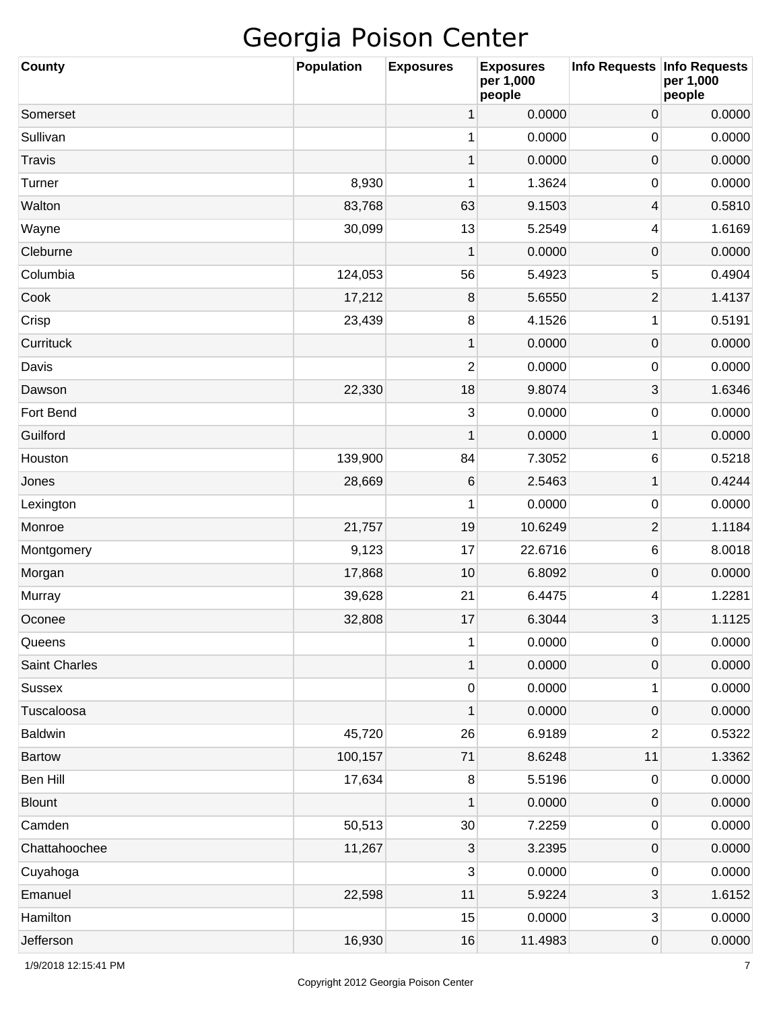| <b>County</b>  | <b>Population</b> | <b>Exposures</b> | <b>Exposures</b><br>per 1,000<br>people | Info Requests   Info Requests | per 1,000<br>people |
|----------------|-------------------|------------------|-----------------------------------------|-------------------------------|---------------------|
| Somerset       |                   | 1                | 0.0000                                  | 0                             | 0.0000              |
| Sullivan       |                   | 1                | 0.0000                                  | 0                             | 0.0000              |
| <b>Travis</b>  |                   | $\mathbf{1}$     | 0.0000                                  | $\pmb{0}$                     | 0.0000              |
| Turner         | 8,930             | 1                | 1.3624                                  | 0                             | 0.0000              |
| Walton         | 83,768            | 63               | 9.1503                                  | 4                             | 0.5810              |
| Wayne          | 30,099            | 13               | 5.2549                                  | 4                             | 1.6169              |
| Cleburne       |                   | 1                | 0.0000                                  | $\pmb{0}$                     | 0.0000              |
| Columbia       | 124,053           | 56               | 5.4923                                  | 5                             | 0.4904              |
| Cook           | 17,212            | 8                | 5.6550                                  | $\overline{2}$                | 1.4137              |
| Crisp          | 23,439            | 8                | 4.1526                                  | 1                             | 0.5191              |
| Currituck      |                   | $\mathbf{1}$     | 0.0000                                  | $\pmb{0}$                     | 0.0000              |
| Davis          |                   | 2                | 0.0000                                  | 0                             | 0.0000              |
| Dawson         | 22,330            | 18               | 9.8074                                  | 3                             | 1.6346              |
| Fort Bend      |                   | 3                | 0.0000                                  | 0                             | 0.0000              |
| Guilford       |                   | $\mathbf{1}$     | 0.0000                                  | 1                             | 0.0000              |
| Houston        | 139,900           | 84               | 7.3052                                  | 6                             | 0.5218              |
| Jones          | 28,669            | 6                | 2.5463                                  | $\mathbf 1$                   | 0.4244              |
| Lexington      |                   | 1                | 0.0000                                  | 0                             | 0.0000              |
| Monroe         | 21,757            | 19               | 10.6249                                 | $\overline{2}$                | 1.1184              |
| Montgomery     | 9,123             | 17               | 22.6716                                 | 6                             | 8.0018              |
| Morgan         | 17,868            | 10               | 6.8092                                  | 0                             | 0.0000              |
| Murray         | 39,628            | 21               | 6.4475                                  | 4                             | 1.2281              |
| Oconee         | 32,808            | 17               | 6.3044                                  | 3                             | 1.1125              |
| Queens         |                   | 1                | 0.0000                                  | $\pmb{0}$                     | 0.0000              |
| Saint Charles  |                   | $\mathbf 1$      | 0.0000                                  | 0                             | 0.0000              |
| <b>Sussex</b>  |                   | 0                | 0.0000                                  | 1                             | 0.0000              |
| Tuscaloosa     |                   | 1                | 0.0000                                  | $\pmb{0}$                     | 0.0000              |
| <b>Baldwin</b> | 45,720            | 26               | 6.9189                                  | 2                             | 0.5322              |
| <b>Bartow</b>  | 100,157           | 71               | 8.6248                                  | 11                            | 1.3362              |
| Ben Hill       | 17,634            | $\bf 8$          | 5.5196                                  | $\pmb{0}$                     | 0.0000              |
| <b>Blount</b>  |                   | $\mathbf{1}$     | 0.0000                                  | $\pmb{0}$                     | 0.0000              |
| Camden         | 50,513            | 30               | 7.2259                                  | $\pmb{0}$                     | 0.0000              |
| Chattahoochee  | 11,267            | $\mathbf{3}$     | 3.2395                                  | 0                             | 0.0000              |
| Cuyahoga       |                   | 3                | 0.0000                                  | $\pmb{0}$                     | 0.0000              |
| Emanuel        | 22,598            | 11               | 5.9224                                  | 3                             | 1.6152              |
| Hamilton       |                   | 15               | 0.0000                                  | 3                             | 0.0000              |
| Jefferson      | 16,930            | 16               | 11.4983                                 | 0                             | 0.0000              |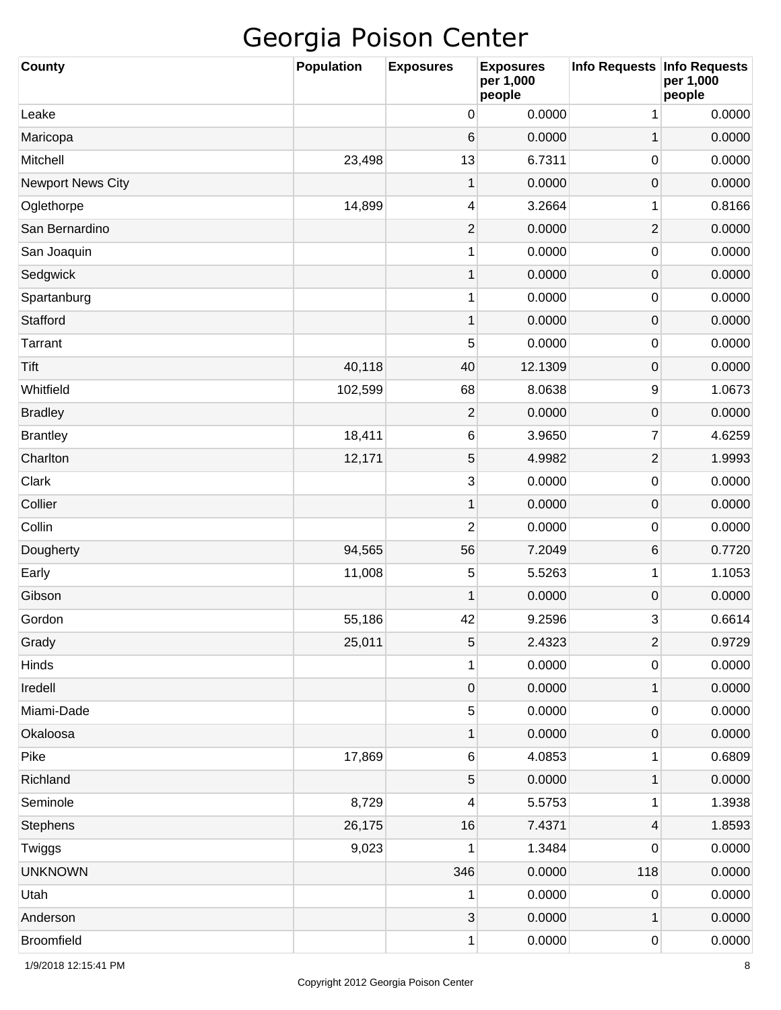| <b>County</b>            | <b>Population</b> | <b>Exposures</b>          | <b>Exposures</b><br>per 1,000<br>people | Info Requests Info Requests | per 1,000<br>people |
|--------------------------|-------------------|---------------------------|-----------------------------------------|-----------------------------|---------------------|
| Leake                    |                   | 0                         | 0.0000                                  | 1                           | 0.0000              |
| Maricopa                 |                   | 6                         | 0.0000                                  | 1                           | 0.0000              |
| Mitchell                 | 23,498            | 13                        | 6.7311                                  | 0                           | 0.0000              |
| <b>Newport News City</b> |                   | 1                         | 0.0000                                  | 0                           | 0.0000              |
| Oglethorpe               | 14,899            | 4                         | 3.2664                                  | 1                           | 0.8166              |
| San Bernardino           |                   | $\overline{\mathbf{c}}$   | 0.0000                                  | $\mathbf{2}$                | 0.0000              |
| San Joaquin              |                   | 1                         | 0.0000                                  | 0                           | 0.0000              |
| Sedgwick                 |                   | 1                         | 0.0000                                  | 0                           | 0.0000              |
| Spartanburg              |                   | 1                         | 0.0000                                  | 0                           | 0.0000              |
| Stafford                 |                   | 1                         | 0.0000                                  | 0                           | 0.0000              |
| Tarrant                  |                   | 5                         | 0.0000                                  | 0                           | 0.0000              |
| Tift                     | 40,118            | 40                        | 12.1309                                 | 0                           | 0.0000              |
| Whitfield                | 102,599           | 68                        | 8.0638                                  | 9                           | 1.0673              |
| <b>Bradley</b>           |                   | $\overline{\mathbf{c}}$   | 0.0000                                  | 0                           | 0.0000              |
| <b>Brantley</b>          | 18,411            | 6                         | 3.9650                                  | 7                           | 4.6259              |
| Charlton                 | 12,171            | 5                         | 4.9982                                  | $\mathbf{2}$                | 1.9993              |
| Clark                    |                   | $\mathbf{3}$              | 0.0000                                  | $\pmb{0}$                   | 0.0000              |
| Collier                  |                   | 1                         | 0.0000                                  | 0                           | 0.0000              |
| Collin                   |                   | $\overline{2}$            | 0.0000                                  | 0                           | 0.0000              |
| Dougherty                | 94,565            | 56                        | 7.2049                                  | 6                           | 0.7720              |
| Early                    | 11,008            | 5                         | 5.5263                                  | 1                           | 1.1053              |
| Gibson                   |                   | 1                         | 0.0000                                  | 0                           | 0.0000              |
| Gordon                   | 55,186            | 42                        | 9.2596                                  | 3                           | 0.6614              |
| Grady                    | 25,011            | $\mathbf 5$               | 2.4323                                  | $\overline{2}$              | 0.9729              |
| Hinds                    |                   | 1                         | 0.0000                                  | 0                           | 0.0000              |
| Iredell                  |                   | $\mathbf 0$               | 0.0000                                  | $\mathbf 1$                 | 0.0000              |
| Miami-Dade               |                   | $\mathbf 5$               | 0.0000                                  | 0                           | 0.0000              |
| Okaloosa                 |                   | $\mathbf 1$               | 0.0000                                  | $\mathsf{O}\xspace$         | 0.0000              |
| Pike                     | 17,869            | 6                         | 4.0853                                  | 1                           | 0.6809              |
| Richland                 |                   | $\mathbf 5$               | 0.0000                                  | $\mathbf 1$                 | 0.0000              |
| Seminole                 | 8,729             | 4                         | 5.5753                                  | 1                           | 1.3938              |
| Stephens                 | 26,175            | 16                        | 7.4371                                  | 4                           | 1.8593              |
| Twiggs                   | 9,023             | 1                         | 1.3484                                  | 0                           | 0.0000              |
| <b>UNKNOWN</b>           |                   | 346                       | 0.0000                                  | 118                         | 0.0000              |
| Utah                     |                   | 1                         | 0.0000                                  | $\pmb{0}$                   | 0.0000              |
| Anderson                 |                   | $\ensuremath{\mathsf{3}}$ | 0.0000                                  | $\mathbf 1$                 | 0.0000              |
| Broomfield               |                   | 1                         | 0.0000                                  | $\pmb{0}$                   | 0.0000              |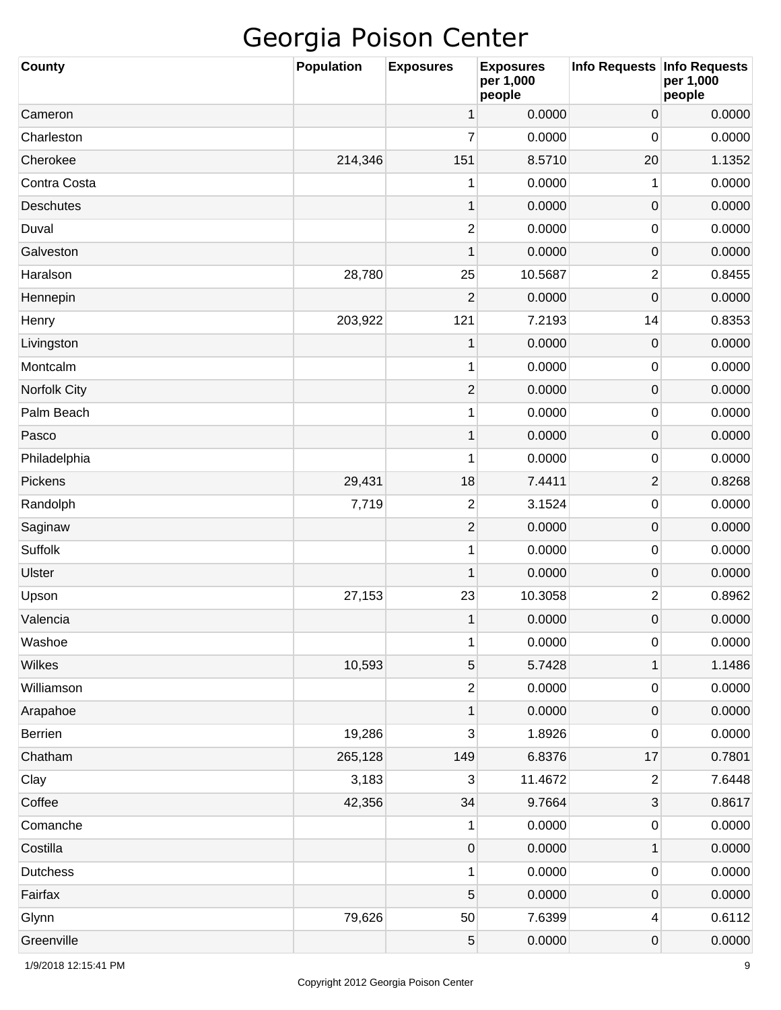| <b>County</b>    | <b>Population</b> | <b>Exposures</b> | <b>Exposures</b><br>per 1,000<br>people | Info Requests   Info Requests | per 1,000<br>people |
|------------------|-------------------|------------------|-----------------------------------------|-------------------------------|---------------------|
| Cameron          |                   | 1                | 0.0000                                  | $\mathsf{O}\xspace$           | 0.0000              |
| Charleston       |                   | 7                | 0.0000                                  | 0                             | 0.0000              |
| Cherokee         | 214,346           | 151              | 8.5710                                  | 20                            | 1.1352              |
| Contra Costa     |                   | 1                | 0.0000                                  | 1                             | 0.0000              |
| <b>Deschutes</b> |                   | 1                | 0.0000                                  | $\pmb{0}$                     | 0.0000              |
| Duval            |                   | 2                | 0.0000                                  | $\mathbf 0$                   | 0.0000              |
| Galveston        |                   | 1                | 0.0000                                  | $\mathsf{O}\xspace$           | 0.0000              |
| Haralson         | 28,780            | 25               | 10.5687                                 | $\overline{c}$                | 0.8455              |
| Hennepin         |                   | $\overline{2}$   | 0.0000                                  | $\mathbf 0$                   | 0.0000              |
| Henry            | 203,922           | 121              | 7.2193                                  | 14                            | 0.8353              |
| Livingston       |                   | 1                | 0.0000                                  | $\pmb{0}$                     | 0.0000              |
| Montcalm         |                   | 1                | 0.0000                                  | $\mathbf 0$                   | 0.0000              |
| Norfolk City     |                   | $\overline{2}$   | 0.0000                                  | $\mathsf{O}\xspace$           | 0.0000              |
| Palm Beach       |                   | 1                | 0.0000                                  | $\mathbf 0$                   | 0.0000              |
| Pasco            |                   | 1                | 0.0000                                  | $\mathsf{O}\xspace$           | 0.0000              |
| Philadelphia     |                   | 1                | 0.0000                                  | $\mathbf 0$                   | 0.0000              |
| Pickens          | 29,431            | 18               | 7.4411                                  | $\overline{2}$                | 0.8268              |
| Randolph         | 7,719             | $\overline{2}$   | 3.1524                                  | $\pmb{0}$                     | 0.0000              |
| Saginaw          |                   | $\overline{2}$   | 0.0000                                  | $\mathsf{O}\xspace$           | 0.0000              |
| Suffolk          |                   | 1                | 0.0000                                  | 0                             | 0.0000              |
| <b>Ulster</b>    |                   | 1                | 0.0000                                  | $\mathsf{O}\xspace$           | 0.0000              |
| Upson            | 27,153            | 23               | 10.3058                                 | $\overline{c}$                | 0.8962              |
| Valencia         |                   | 1                | 0.0000                                  | $\mathbf 0$                   | 0.0000              |
| Washoe           |                   | 1                | 0.0000                                  | $\pmb{0}$                     | 0.0000              |
| Wilkes           | 10,593            | 5                | 5.7428                                  | $\mathbf 1$                   | 1.1486              |
| Williamson       |                   | $\overline{c}$   | 0.0000                                  | $\pmb{0}$                     | 0.0000              |
| Arapahoe         |                   | $\mathbf 1$      | 0.0000                                  | $\mathsf{O}\xspace$           | 0.0000              |
| <b>Berrien</b>   | 19,286            | 3                | 1.8926                                  | $\pmb{0}$                     | 0.0000              |
| Chatham          | 265,128           | 149              | 6.8376                                  | 17                            | 0.7801              |
| Clay             | 3,183             | 3                | 11.4672                                 | $\boldsymbol{2}$              | 7.6448              |
| Coffee           | 42,356            | 34               | 9.7664                                  | 3                             | 0.8617              |
| Comanche         |                   | 1                | 0.0000                                  | $\pmb{0}$                     | 0.0000              |
| Costilla         |                   | $\mathbf 0$      | 0.0000                                  | $\mathbf 1$                   | 0.0000              |
| <b>Dutchess</b>  |                   | 1                | 0.0000                                  | $\pmb{0}$                     | 0.0000              |
| Fairfax          |                   | 5                | 0.0000                                  | $\mathsf{O}\xspace$           | 0.0000              |
| Glynn            | 79,626            | 50               | 7.6399                                  | 4                             | 0.6112              |
| Greenville       |                   | $\mathbf 5$      | 0.0000                                  | 0                             | 0.0000              |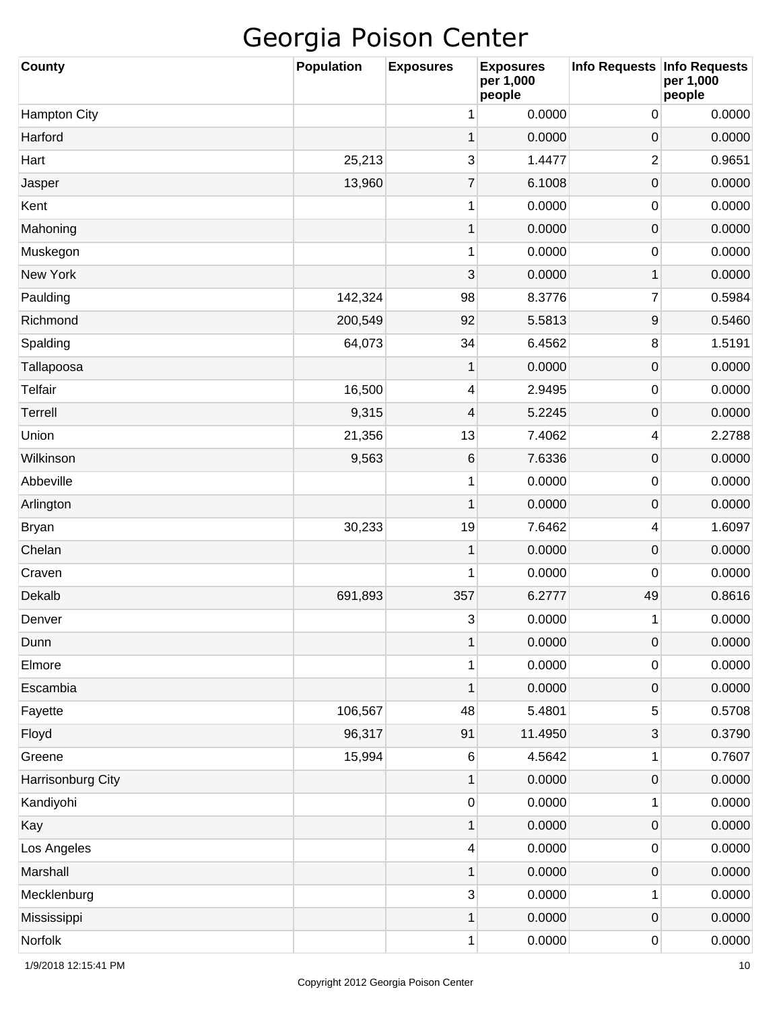| <b>County</b>       | <b>Population</b> | <b>Exposures</b> | <b>Exposures</b><br>per 1,000<br>people | Info Requests   Info Requests | per 1,000<br>people |
|---------------------|-------------------|------------------|-----------------------------------------|-------------------------------|---------------------|
| <b>Hampton City</b> |                   | 1                | 0.0000                                  | 0                             | 0.0000              |
| Harford             |                   | 1                | 0.0000                                  | $\mathbf 0$                   | 0.0000              |
| Hart                | 25,213            | 3                | 1.4477                                  | $\overline{c}$                | 0.9651              |
| Jasper              | 13,960            | $\overline{7}$   | 6.1008                                  | $\mathsf{O}\xspace$           | 0.0000              |
| Kent                |                   | 1                | 0.0000                                  | 0                             | 0.0000              |
| Mahoning            |                   | $\mathbf 1$      | 0.0000                                  | $\mathsf{O}\xspace$           | 0.0000              |
| Muskegon            |                   | 1                | 0.0000                                  | 0                             | 0.0000              |
| <b>New York</b>     |                   | 3                | 0.0000                                  | 1                             | 0.0000              |
| Paulding            | 142,324           | 98               | 8.3776                                  | 7                             | 0.5984              |
| Richmond            | 200,549           | 92               | 5.5813                                  | 9                             | 0.5460              |
| Spalding            | 64,073            | 34               | 6.4562                                  | 8                             | 1.5191              |
| Tallapoosa          |                   | 1                | 0.0000                                  | $\mathsf{O}\xspace$           | 0.0000              |
| Telfair             | 16,500            | 4                | 2.9495                                  | 0                             | 0.0000              |
| Terrell             | 9,315             | 4                | 5.2245                                  | $\mathsf{O}\xspace$           | 0.0000              |
| Union               | 21,356            | 13               | 7.4062                                  | 4                             | 2.2788              |
| Wilkinson           | 9,563             | $\,6\,$          | 7.6336                                  | $\mathsf{O}\xspace$           | 0.0000              |
| Abbeville           |                   | 1                | 0.0000                                  | 0                             | 0.0000              |
| Arlington           |                   | 1                | 0.0000                                  | $\mathsf{O}\xspace$           | 0.0000              |
| <b>Bryan</b>        | 30,233            | 19               | 7.6462                                  | 4                             | 1.6097              |
| Chelan              |                   | 1                | 0.0000                                  | $\mathsf{O}\xspace$           | 0.0000              |
| Craven              |                   | 1                | 0.0000                                  | 0                             | 0.0000              |
| Dekalb              | 691,893           | 357              | 6.2777                                  | 49                            | 0.8616              |
| Denver              |                   | 3                | 0.0000                                  | 1                             | 0.0000              |
| Dunn                |                   | $\mathbf 1$      | 0.0000                                  | $\mathbf 0$                   | 0.0000              |
| Elmore              |                   | 1                | 0.0000                                  | 0                             | 0.0000              |
| Escambia            |                   | $\mathbf 1$      | 0.0000                                  | $\mathsf{O}\xspace$           | 0.0000              |
| Fayette             | 106,567           | 48               | 5.4801                                  | 5                             | 0.5708              |
| Floyd               | 96,317            | 91               | 11.4950                                 | 3                             | 0.3790              |
| Greene              | 15,994            | $\,6$            | 4.5642                                  | 1                             | 0.7607              |
| Harrisonburg City   |                   | $\mathbf 1$      | 0.0000                                  | $\mathsf{O}\xspace$           | 0.0000              |
| Kandiyohi           |                   | 0                | 0.0000                                  | 1                             | 0.0000              |
| Kay                 |                   | $\mathbf 1$      | 0.0000                                  | $\mathsf{O}\xspace$           | 0.0000              |
| Los Angeles         |                   | 4                | 0.0000                                  | 0                             | 0.0000              |
| Marshall            |                   | $\mathbf 1$      | 0.0000                                  | 0                             | 0.0000              |
| Mecklenburg         |                   | $\mathbf{3}$     | 0.0000                                  | 1                             | 0.0000              |
| Mississippi         |                   | $\mathbf{1}$     | 0.0000                                  | 0                             | 0.0000              |
| Norfolk             |                   | 1                | 0.0000                                  | 0                             | 0.0000              |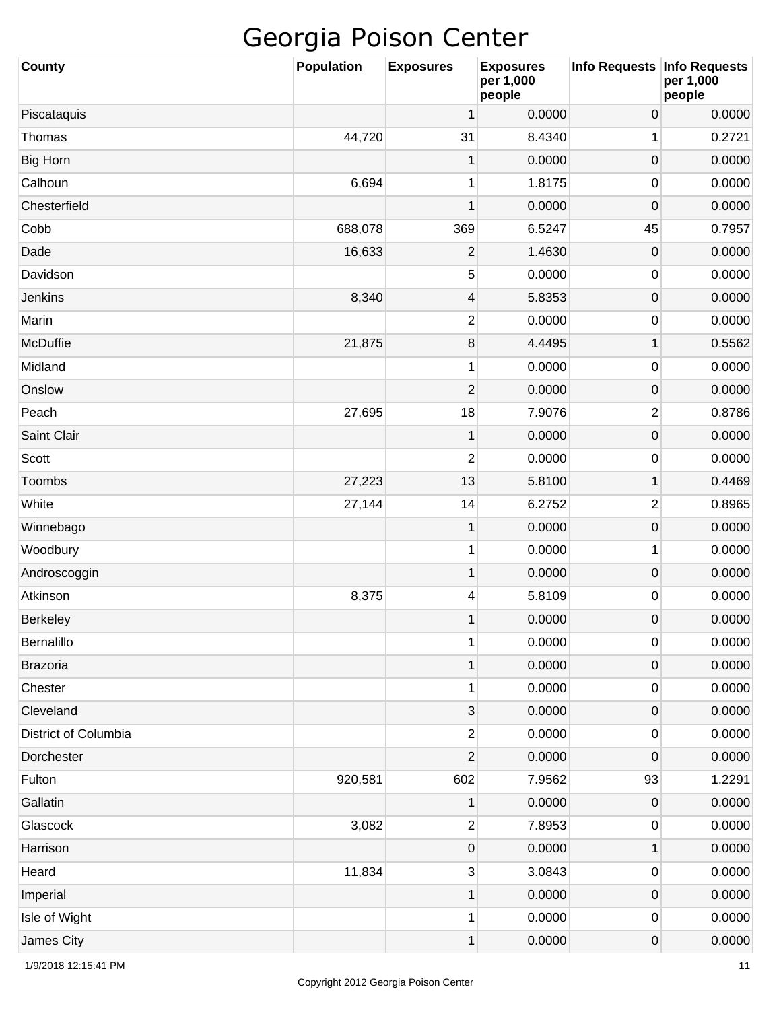| <b>County</b>        | <b>Population</b> | <b>Exposures</b>        | <b>Exposures</b><br>per 1,000<br>people | Info Requests Info Requests | per 1,000<br>people |
|----------------------|-------------------|-------------------------|-----------------------------------------|-----------------------------|---------------------|
| Piscataquis          |                   | 1                       | 0.0000                                  | $\boldsymbol{0}$            | 0.0000              |
| Thomas               | 44,720            | 31                      | 8.4340                                  | 1                           | 0.2721              |
| <b>Big Horn</b>      |                   | 1                       | 0.0000                                  | $\mathbf 0$                 | 0.0000              |
| Calhoun              | 6,694             | 1                       | 1.8175                                  | 0                           | 0.0000              |
| Chesterfield         |                   | 1                       | 0.0000                                  | 0                           | 0.0000              |
| Cobb                 | 688,078           | 369                     | 6.5247                                  | 45                          | 0.7957              |
| Dade                 | 16,633            | $\mathbf{2}$            | 1.4630                                  | $\mathbf 0$                 | 0.0000              |
| Davidson             |                   | 5                       | 0.0000                                  | 0                           | 0.0000              |
| Jenkins              | 8,340             | $\overline{\mathbf{4}}$ | 5.8353                                  | $\boldsymbol{0}$            | 0.0000              |
| Marin                |                   | $\overline{c}$          | 0.0000                                  | 0                           | 0.0000              |
| <b>McDuffie</b>      | 21,875            | $\, 8$                  | 4.4495                                  | 1                           | 0.5562              |
| Midland              |                   | 1                       | 0.0000                                  | 0                           | 0.0000              |
| Onslow               |                   | $\overline{2}$          | 0.0000                                  | $\boldsymbol{0}$            | 0.0000              |
| Peach                | 27,695            | 18                      | 7.9076                                  | $\overline{c}$              | 0.8786              |
| Saint Clair          |                   | 1                       | 0.0000                                  | $\mathsf{O}\xspace$         | 0.0000              |
| Scott                |                   | $\overline{2}$          | 0.0000                                  | 0                           | 0.0000              |
| Toombs               | 27,223            | 13                      | 5.8100                                  | 1                           | 0.4469              |
| White                | 27,144            | 14                      | 6.2752                                  | $\overline{2}$              | 0.8965              |
| Winnebago            |                   | $\mathbf 1$             | 0.0000                                  | $\mathsf{O}\xspace$         | 0.0000              |
| Woodbury             |                   | 1                       | 0.0000                                  | 1                           | 0.0000              |
| Androscoggin         |                   | $\mathbf 1$             | 0.0000                                  | $\boldsymbol{0}$            | 0.0000              |
| Atkinson             | 8,375             | 4                       | 5.8109                                  | 0                           | 0.0000              |
| <b>Berkeley</b>      |                   | 1                       | 0.0000                                  | 0                           | 0.0000              |
| Bernalillo           |                   | 1                       | 0.0000                                  | 0                           | 0.0000              |
| <b>Brazoria</b>      |                   | $\mathbf 1$             | 0.0000                                  | $\mathsf{O}\xspace$         | 0.0000              |
| Chester              |                   | 1                       | 0.0000                                  | 0                           | 0.0000              |
| Cleveland            |                   | 3                       | 0.0000                                  | $\mathsf{O}\xspace$         | 0.0000              |
| District of Columbia |                   | $\overline{c}$          | 0.0000                                  | 0                           | 0.0000              |
| Dorchester           |                   | $\overline{c}$          | 0.0000                                  | 0                           | 0.0000              |
| Fulton               | 920,581           | 602                     | 7.9562                                  | 93                          | 1.2291              |
| Gallatin             |                   | $\mathbf 1$             | 0.0000                                  | 0                           | 0.0000              |
| Glascock             | 3,082             | $\overline{\mathbf{c}}$ | 7.8953                                  | 0                           | 0.0000              |
| Harrison             |                   | 0                       | 0.0000                                  | 1                           | 0.0000              |
| Heard                | 11,834            | $\mathbf{3}$            | 3.0843                                  | 0                           | 0.0000              |
| Imperial             |                   | $\mathbf 1$             | 0.0000                                  | $\mathsf{O}\xspace$         | 0.0000              |
| Isle of Wight        |                   | 1                       | 0.0000                                  | 0                           | 0.0000              |
| James City           |                   | 1                       | 0.0000                                  | 0                           | 0.0000              |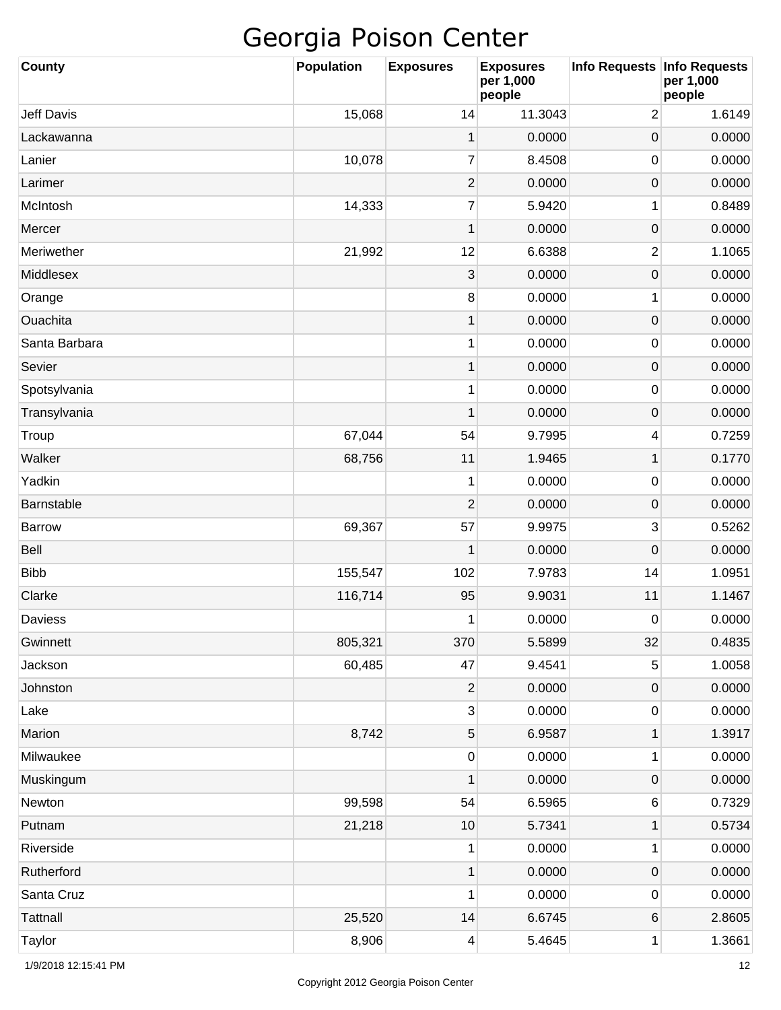| <b>County</b>     | <b>Population</b> | <b>Exposures</b> | <b>Exposures</b><br>per 1,000<br>people | Info Requests Info Requests | per 1,000<br>people |
|-------------------|-------------------|------------------|-----------------------------------------|-----------------------------|---------------------|
| <b>Jeff Davis</b> | 15,068            | 14               | 11.3043                                 | $\overline{2}$              | 1.6149              |
| Lackawanna        |                   | 1                | 0.0000                                  | 0                           | 0.0000              |
| Lanier            | 10,078            | $\overline{7}$   | 8.4508                                  | 0                           | 0.0000              |
| Larimer           |                   | $\overline{c}$   | 0.0000                                  | $\boldsymbol{0}$            | 0.0000              |
| McIntosh          | 14,333            | $\overline{7}$   | 5.9420                                  | 1                           | 0.8489              |
| Mercer            |                   | 1                | 0.0000                                  | $\mathbf 0$                 | 0.0000              |
| Meriwether        | 21,992            | 12               | 6.6388                                  | $\overline{c}$              | 1.1065              |
| Middlesex         |                   | 3                | 0.0000                                  | $\boldsymbol{0}$            | 0.0000              |
| Orange            |                   | $\, 8$           | 0.0000                                  | 1                           | 0.0000              |
| Ouachita          |                   | 1                | 0.0000                                  | $\boldsymbol{0}$            | 0.0000              |
| Santa Barbara     |                   | 1                | 0.0000                                  | 0                           | 0.0000              |
| Sevier            |                   | 1                | 0.0000                                  | 0                           | 0.0000              |
| Spotsylvania      |                   | 1                | 0.0000                                  | 0                           | 0.0000              |
| Transylvania      |                   | 1                | 0.0000                                  | 0                           | 0.0000              |
| Troup             | 67,044            | 54               | 9.7995                                  | 4                           | 0.7259              |
| Walker            | 68,756            | 11               | 1.9465                                  | 1                           | 0.1770              |
| Yadkin            |                   | 1                | 0.0000                                  | 0                           | 0.0000              |
| Barnstable        |                   | $\overline{2}$   | 0.0000                                  | 0                           | 0.0000              |
| Barrow            | 69,367            | 57               | 9.9975                                  | 3                           | 0.5262              |
| <b>Bell</b>       |                   | 1                | 0.0000                                  | 0                           | 0.0000              |
| <b>Bibb</b>       | 155,547           | 102              | 7.9783                                  | 14                          | 1.0951              |
| Clarke            | 116,714           | 95               | 9.9031                                  | 11                          | 1.1467              |
| <b>Daviess</b>    |                   | 1                | 0.0000                                  | 0                           | 0.0000              |
| Gwinnett          | 805,321           | 370              | 5.5899                                  | 32                          | 0.4835              |
| Jackson           | 60,485            | 47               | 9.4541                                  | 5                           | 1.0058              |
| Johnston          |                   | $\overline{c}$   | 0.0000                                  | $\mathsf{O}\xspace$         | 0.0000              |
| Lake              |                   | $\mathbf{3}$     | 0.0000                                  | 0                           | 0.0000              |
| Marion            | 8,742             | 5                | 6.9587                                  | 1                           | 1.3917              |
| Milwaukee         |                   | 0                | 0.0000                                  | 1                           | 0.0000              |
| Muskingum         |                   | 1                | 0.0000                                  | $\mathsf{O}\xspace$         | 0.0000              |
| Newton            | 99,598            | 54               | 6.5965                                  | 6                           | 0.7329              |
| Putnam            | 21,218            | $10$             | 5.7341                                  | 1                           | 0.5734              |
| Riverside         |                   | 1                | 0.0000                                  | 1                           | 0.0000              |
| Rutherford        |                   | $\mathbf 1$      | 0.0000                                  | $\mathsf{O}\xspace$         | 0.0000              |
| Santa Cruz        |                   | 1                | 0.0000                                  | 0                           | 0.0000              |
| <b>Tattnall</b>   | 25,520            | 14               | 6.6745                                  | 6                           | 2.8605              |
| Taylor            | 8,906             | 4                | 5.4645                                  | 1                           | 1.3661              |